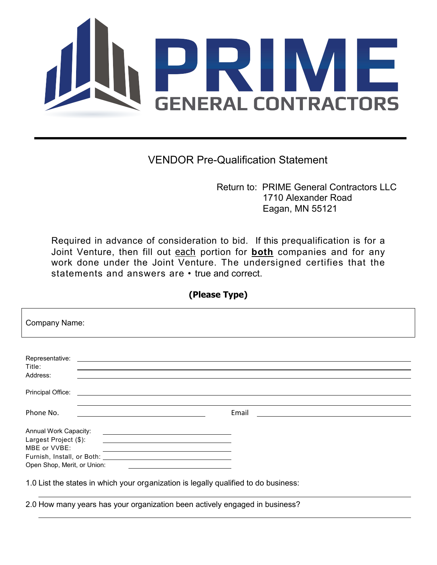## i ta PI KH IV **SENERAL CONTRACTORS**

## VENDOR Pre-Qualification Statement

Return to: PRIME General Contractors LLC 1710 Alexander Road Eagan, MN 55121

Required in advance of consideration to bid. If this prequalification is for a Joint Venture, then fill out each portion for **both** companies and for any work done under the Joint Venture. The undersigned certifies that the statements and answers are • true and correct.

**(Please Type)**

| <b>Company Name:</b>                                                                                                                                                                                                                                                               |       |  |  |  |
|------------------------------------------------------------------------------------------------------------------------------------------------------------------------------------------------------------------------------------------------------------------------------------|-------|--|--|--|
| Representative:<br><u> 1980 - Andrea Andrew Maria (h. 1980).</u><br>1901 - Andrew Maria (h. 1902).<br>Title:                                                                                                                                                                       |       |  |  |  |
| Address:<br>Principal Office:<br><u> 1989 - Johann Stein, marwolaethau a bhann an t-Amhain an t-Amhain an t-Amhain an t-Amhain an t-Amhain an t-A</u>                                                                                                                              |       |  |  |  |
| Phone No.                                                                                                                                                                                                                                                                          | Email |  |  |  |
| Annual Work Capacity:<br><u> 1989 - Andrea Stadt Britain, amerikansk politik (</u><br>Largest Project (\$):<br><u> Alexandria de la contrada de la contrada de la contrada de la contrada de la contrada de la contrada de la c</u><br>MBE or VVBE:<br>Open Shop, Merit, or Union: |       |  |  |  |
| 1.0 List the states in which your organization is legally qualified to do business:                                                                                                                                                                                                |       |  |  |  |

2.0 How many years has your organization been actively engaged in business?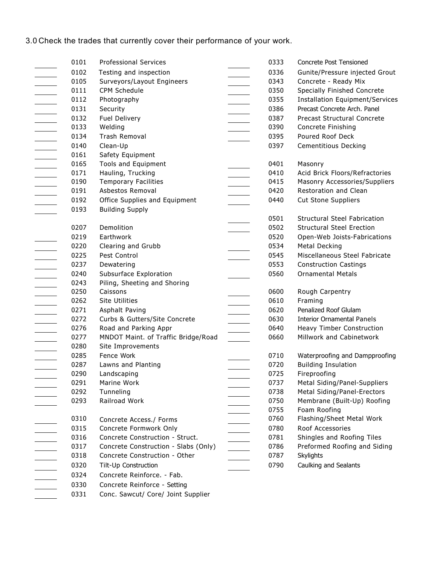## 3.0 Check the trades that currently cover their performance of your work.

| 0101 | <b>Professional Services</b>         | 0333 | Concrete Post Tensioned                |
|------|--------------------------------------|------|----------------------------------------|
| 0102 | Testing and inspection               | 0336 | Gunite/Pressure injected Grout         |
| 0105 | Surveyors/Layout Engineers           | 0343 | Concrete - Ready Mix                   |
| 0111 | CPM Schedule                         | 0350 | Specially Finished Concrete            |
| 0112 | Photography                          | 0355 | <b>Installation Equipment/Services</b> |
| 0131 | Security                             | 0386 | Precast Concrete Arch, Panel           |
| 0132 | <b>Fuel Delivery</b>                 | 0387 | Precast Structural Concrete            |
| 0133 | Welding                              | 0390 | Concrete Finishing                     |
| 0134 | <b>Trash Removal</b>                 | 0395 | Poured Roof Deck                       |
| 0140 | Clean-Up                             | 0397 | <b>Cementitious Decking</b>            |
| 0161 | Safety Equipment                     |      |                                        |
| 0165 | Tools and Equipment                  | 0401 | Masonry                                |
| 0171 | Hauling, Trucking                    | 0410 | Acid Brick Floors/Refractories         |
| 0190 | <b>Temporary Facilities</b>          | 0415 | Masonry Accessories/Suppliers          |
| 0191 | Asbestos Removal                     | 0420 | Restoration and Clean                  |
| 0192 | Office Supplies and Equipment        | 0440 | <b>Cut Stone Suppliers</b>             |
| 0193 | <b>Building Supply</b>               |      |                                        |
|      |                                      | 0501 | <b>Structural Steel Fabrication</b>    |
| 0207 | Demolition                           | 0502 | <b>Structural Steel Erection</b>       |
| 0219 | Earthwork                            | 0520 | Open-Web Joists-Fabrications           |
| 0220 | Clearing and Grubb                   | 0534 | Metal Decking                          |
| 0225 | Pest Control                         | 0545 | Miscellaneous Steel Fabricate          |
| 0237 | Dewatering                           | 0553 | <b>Construction Castings</b>           |
| 0240 | Subsurface Exploration               | 0560 | <b>Ornamental Metals</b>               |
| 0243 | Piling, Sheeting and Shoring         |      |                                        |
| 0250 | Caissons                             | 0600 | Rough Carpentry                        |
| 0262 | <b>Site Utilities</b>                | 0610 | Framing                                |
| 0271 | Asphalt Paving                       | 0620 | Penalized Roof Glulam                  |
| 0272 | Curbs & Gutters/Site Concrete        | 0630 | <b>Interior Ornamental Panels</b>      |
| 0276 | Road and Parking Appr                | 0640 | Heavy Timber Construction              |
| 0277 | MNDOT Maint. of Traffic Bridge/Road  | 0660 | Millwork and Cabinetwork               |
| 0280 | Site Improvements                    |      |                                        |
| 0285 | Fence Work                           | 0710 | Waterproofing and Dampproofing         |
| 0287 | Lawns and Planting                   | 0720 | <b>Building Insulation</b>             |
| 0290 | Landscaping                          | 0725 | Fireproofing                           |
| 0291 | Marine Work                          | 0737 | Metal Siding/Panel-Suppliers           |
| 0292 | Tunneling                            | 0738 | Metal Siding/Panel-Erectors            |
| 0293 | Railroad Work                        | 0750 | Membrane (Built-Up) Roofing            |
|      |                                      | 0755 | Foam Roofing                           |
| 0310 | Concrete Access./ Forms              | 0760 | Flashing/Sheet Metal Work              |
| 0315 | Concrete Formwork Only               | 0780 | Roof Accessories                       |
| 0316 | Concrete Construction - Struct.      | 0781 | Shingles and Roofing Tiles             |
| 0317 | Concrete Construction - Slabs (Only) | 0786 | Preformed Roofing and Siding           |
| 0318 | Concrete Construction - Other        | 0787 | Skylights                              |
| 0320 | Tilt-Up Construction                 | 0790 | Caulking and Sealants                  |
| 0324 | Concrete Reinforce. - Fab.           |      |                                        |
| 0330 | Concrete Reinforce - Setting         |      |                                        |
| 0331 | Conc. Sawcut/ Core/ Joint Supplier   |      |                                        |
|      |                                      |      |                                        |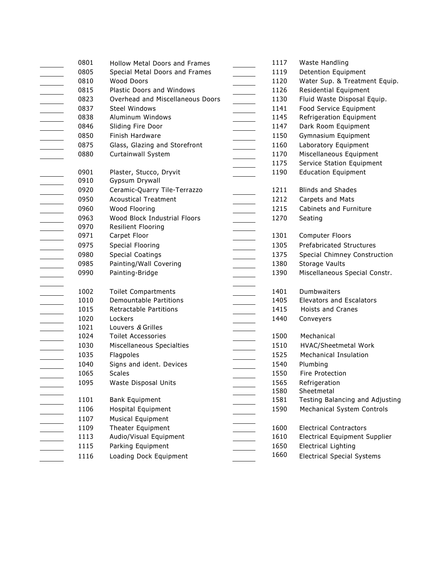| 0801 | <b>Hollow Metal Doors and Frames</b> | 1117 | Waste Handling                       |
|------|--------------------------------------|------|--------------------------------------|
| 0805 | Special Metal Doors and Frames       | 1119 | Detention Equipment                  |
| 0810 | Wood Doors                           | 1120 | Water Sup. & Treatment Equip.        |
| 0815 | Plastic Doors and Windows            | 1126 | Residential Equipment                |
| 0823 | Overhead and Miscellaneous Doors     | 1130 | Fluid Waste Disposal Equip.          |
| 0837 | <b>Steel Windows</b>                 | 1141 | Food Service Equipment               |
| 0838 | Aluminum Windows                     | 1145 | Refrigeration Equipment              |
| 0846 | Sliding Fire Door                    | 1147 | Dark Room Equipment                  |
| 0850 | Finish Hardware                      | 1150 | Gymnasium Equipment                  |
| 0875 | Glass, Glazing and Storefront        | 1160 | Laboratory Equipment                 |
| 0880 | Curtainwall System                   | 1170 | Miscellaneous Equipment              |
|      |                                      | 1175 | Service Station Equipment            |
| 0901 | Plaster, Stucco, Dryvit              | 1190 | <b>Education Equipment</b>           |
| 0910 | Gypsum Drywall                       |      |                                      |
| 0920 | Ceramic-Quarry Tile-Terrazzo         | 1211 | <b>Blinds and Shades</b>             |
| 0950 | <b>Acoustical Treatment</b>          | 1212 | Carpets and Mats                     |
| 0960 | Wood Flooring                        | 1215 | Cabinets and Furniture               |
| 0963 | Wood Block Industrial Floors         | 1270 | Seating                              |
| 0970 | Resilient Flooring                   |      |                                      |
| 0971 | Carpet Floor                         | 1301 | Computer Floors                      |
| 0975 | Special Flooring                     | 1305 | <b>Prefabricated Structures</b>      |
| 0980 | <b>Special Coatings</b>              | 1375 | Special Chimney Construction         |
| 0985 | Painting/Wall Covering               | 1380 | Storage Vaults                       |
| 0990 | Painting-Bridge                      | 1390 | Miscellaneous Special Constr.        |
|      |                                      |      |                                      |
| 1002 | <b>Toilet Compartments</b>           | 1401 | Dumbwaiters                          |
| 1010 | <b>Demountable Partitions</b>        | 1405 | <b>Elevators and Escalators</b>      |
| 1015 | <b>Retractable Partitions</b>        | 1415 | Hoists and Cranes                    |
| 1020 | Lockers                              | 1440 | Conveyers                            |
| 1021 | Louvers & Grilles                    |      |                                      |
| 1024 | <b>Toilet Accessories</b>            | 1500 | Mechanical                           |
| 1030 | Miscellaneous Specialties            | 1510 | HVAC/Sheetmetal Work                 |
| 1035 | Flagpoles                            | 1525 | <b>Mechanical Insulation</b>         |
| 1040 | Signs and ident. Devices             | 1540 | Plumbing                             |
| 1065 | <b>Scales</b>                        | 1550 | Fire Protection                      |
| 1095 | Waste Disposal Units                 | 1565 | Refrigeration                        |
|      |                                      | 1580 | Sheetmetal                           |
| 1101 | <b>Bank Equipment</b>                | 1581 | Testing Balancing and Adjusting      |
| 1106 | <b>Hospital Equipment</b>            | 1590 | <b>Mechanical System Controls</b>    |
| 1107 | <b>Musical Equipment</b>             |      |                                      |
| 1109 | Theater Equipment                    | 1600 | <b>Electrical Contractors</b>        |
| 1113 | Audio/Visual Equipment               | 1610 | <b>Electrical Equipment Supplier</b> |
| 1115 | Parking Equipment                    | 1650 | <b>Electrical Lighting</b>           |
| 1116 | Loading Dock Equipment               | 1660 | <b>Electrical Special Systems</b>    |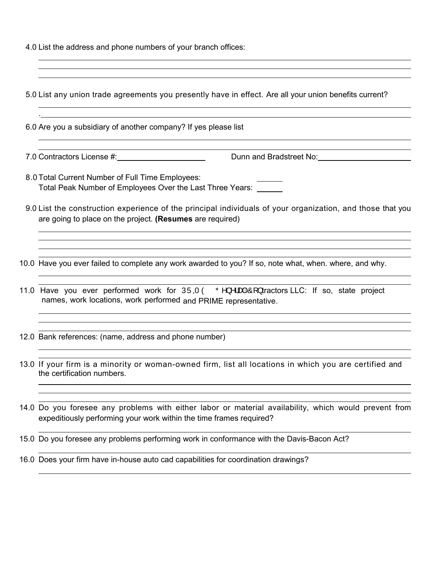4.0 List the address and phone numbers of your branch offices:

| 5.0 List any union trade agreements you presently have in effect. Are all your union benefits current?                                                                                                                                                                                                                                     |
|--------------------------------------------------------------------------------------------------------------------------------------------------------------------------------------------------------------------------------------------------------------------------------------------------------------------------------------------|
| 6.0 Are you a subsidiary of another company? If yes please list                                                                                                                                                                                                                                                                            |
|                                                                                                                                                                                                                                                                                                                                            |
| 8.0 Total Current Number of Full Time Employees:<br>Total Peak Number of Employees Over the Last Three Years: ______                                                                                                                                                                                                                       |
| 9.0 List the construction experience of the principal individuals of your organization, and those that you<br>are going to place on the project. (Resumes are required)                                                                                                                                                                    |
| 10.0 Have you ever failed to complete any work awarded to you? If so, note what, when. where, and why.                                                                                                                                                                                                                                     |
| 11.0 Have you ever performed work for $\hat{U} \hat{U} \hat{U} \hat{O} \hat{O} \hat{O}$ and $\hat{O}$ and $\hat{O}$ and $\hat{O}$ and $\hat{O}$ and $\hat{O}$ and $\hat{O}$ and $\hat{O}$ and $\hat{O}$ and $\hat{O}$ and $\hat{O}$ and $\hat{O}$ and $\hat{O}$ and $\$<br>names, work locations, work performed and PRIME representative. |
| 12.0 Bank references: (name, address and phone number)                                                                                                                                                                                                                                                                                     |
| 13.0 If your firm is a minority or woman-owned firm, list all locations in which you are certified and<br>the certification numbers.                                                                                                                                                                                                       |
| 14.0 Do you foresee any problems with either labor or material availability, which would prevent from<br>expeditiously performing your work within the time frames required?                                                                                                                                                               |
| 15.0 Do you foresee any problems performing work in conformance with the Davis-Bacon Act?                                                                                                                                                                                                                                                  |

16.0 Does your firm have in-house auto cad capabilities for coordination drawings?